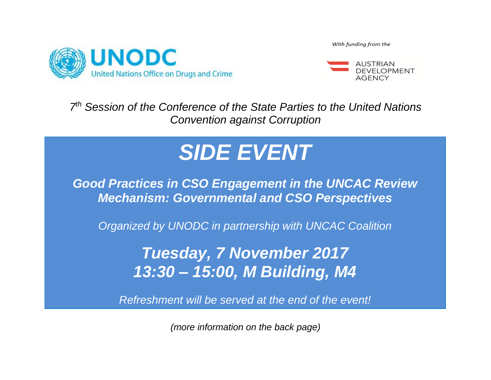

With funding from the



*7 th Session of the Conference of the State Parties to the United Nations Convention against Corruption*

# *SIDE EVENT*

*Good Practices in CSO Engagement in the UNCAC Review Mechanism: Governmental and CSO Perspectives*

*Organized by UNODC in partnership with UNCAC Coalition*

*Tuesday, 7 November 2017 13:30 – 15:00, M Building, M4*

*Refreshment will be served at the end of the event!*

*(more information on the back page)*